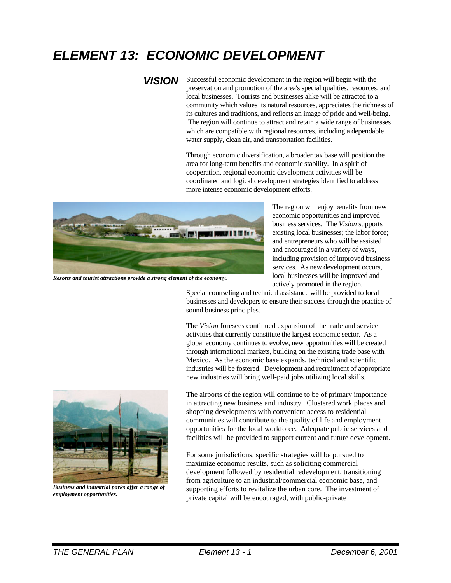# *ELEMENT 13: ECONOMIC DEVELOPMENT*

*VISION* Successful economic development in the region will begin with the preservation and promotion of the area's special qualities, resources, and local businesses. Tourists and businesses alike will be attracted to a community which values its natural resources, appreciates the richness of its cultures and traditions, and reflects an image of pride and well-being. The region will continue to attract and retain a wide range of businesses which are compatible with regional resources, including a dependable water supply, clean air, and transportation facilities.

> Through economic diversification, a broader tax base will position the area for long-term benefits and economic stability. In a spirit of cooperation, regional economic development activities will be coordinated and logical development strategies identified to address more intense economic development efforts.



*Resorts and tourist attractions provide a strong element of the economy.*

The region will enjoy benefits from new economic opportunities and improved business services. The *Vision* supports existing local businesses; the labor force; and entrepreneurs who will be assisted and encouraged in a variety of ways, including provision of improved business services. As new development occurs, local businesses will be improved and actively promoted in the region.

Special counseling and technical assistance will be provided to local businesses and developers to ensure their success through the practice of sound business principles.

The *Vision* foresees continued expansion of the trade and service activities that currently constitute the largest economic sector. As a global economy continues to evolve, new opportunities will be created through international markets, building on the existing trade base with Mexico. As the economic base expands, technical and scientific industries will be fostered. Development and recruitment of appropriate new industries will bring well-paid jobs utilizing local skills.



*Business and industrial parks offer a range of employment opportunities.*

The airports of the region will continue to be of primary importance in attracting new business and industry. Clustered work places and shopping developments with convenient access to residential communities will contribute to the quality of life and employment opportunities for the local workforce. Adequate public services and facilities will be provided to support current and future development.

For some jurisdictions, specific strategies will be pursued to maximize economic results, such as soliciting commercial development followed by residential redevelopment, transitioning from agriculture to an industrial/commercial economic base, and supporting efforts to revitalize the urban core. The investment of private capital will be encouraged, with public-private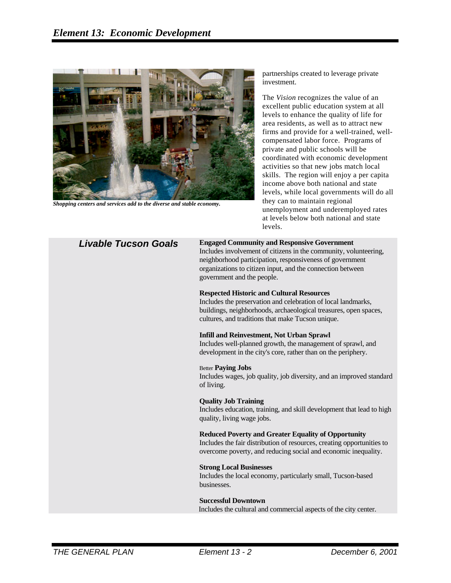

*Shopping centers and services add to the diverse and stable economy.*

partnerships created to leverage private investment.

The *Vision* recognizes the value of an excellent public education system at all levels to enhance the quality of life for area residents, as well as to attract new firms and provide for a well-trained, wellcompensated labor force. Programs of private and public schools will be coordinated with economic development activities so that new jobs match local skills. The region will enjoy a per capita income above both national and state levels, while local governments will do all they can to maintain regional unemployment and underemployed rates at levels below both national and state levels.

#### *Livable Tucson Goals* **Engaged Community and Responsive Government**

Includes involvement of citizens in the community, volunteering, neighborhood participation, responsiveness of government organizations to citizen input, and the connection between government and the people.

#### **Respected Historic and Cultural Resources**

Includes the preservation and celebration of local landmarks, buildings, neighborhoods, archaeological treasures, open spaces, cultures, and traditions that make Tucson unique.

#### **Infill and Reinvestment, Not Urban Sprawl**

Includes well-planned growth, the management of sprawl, and development in the city's core, rather than on the periphery.

#### Better **Paying Jobs**

Includes wages, job quality, job diversity, and an improved standard of living.

#### **Quality Job Training**

Includes education, training, and skill development that lead to high quality, living wage jobs.

#### **Reduced Poverty and Greater Equality of Opportunity**

Includes the fair distribution of resources, creating opportunities to overcome poverty, and reducing social and economic inequality.

#### **Strong Local Businesses**

Includes the local economy, particularly small, Tucson-based businesses.

#### **Successful Downtown**

Includes the cultural and commercial aspects of the city center.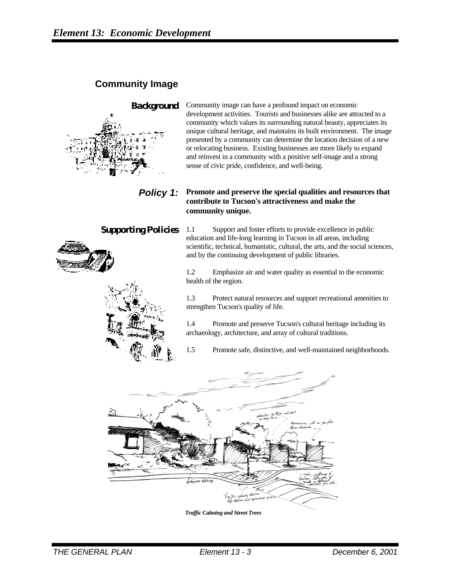# **Community Image**



**Background** Community image can have a profound impact on economic development activities. Tourists and businesses alike are attracted to a community which values its surrounding natural beauty, appreciates its unique cultural heritage, and maintains its built environment. The image presented by a community can determine the location decision of a new or relocating business. Existing businesses are more likely to expand and reinvest in a community with a positive self-image and a strong sense of civic pride, confidence, and well-being.

### *Policy 1:* **Promote and preserve the special qualities and resources that contribute to Tucson's attractiveness and make the community unique.**

**Supporting Policies** 1.1 Support and foster efforts to provide excellence in public education and life-long learning in Tucson in all areas, including scientific, technical, humanistic, cultural, the arts, and the social sciences, and by the continuing development of public libraries.

> 1.2 Emphasize air and water quality as essential to the economic health of the region.

1.3 Protect natural resources and support recreational amenities to strengthen Tucson's quality of life.

1.4 Promote and preserve Tucson's cultural heritage including its archaeology, architecture, and array of cultural traditions.

1.5 Promote safe, distinctive, and well-maintained neighborhoods.



*Traffic Calming and Street Trees*



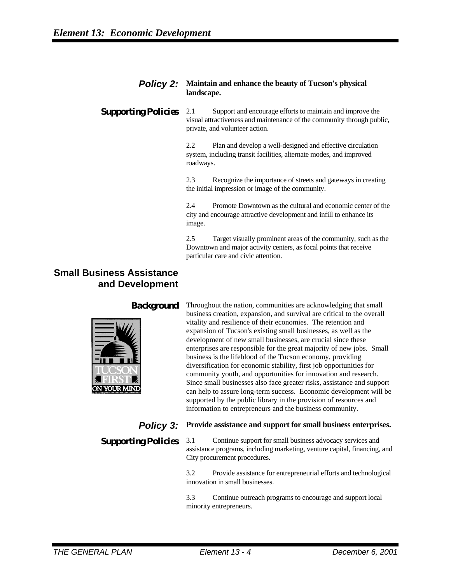#### *Policy 2:* **Maintain and enhance the beauty of Tucson's physical landscape.**

**Supporting Policies** 2.1 Support and encourage efforts to maintain and improve the visual attractiveness and maintenance of the community through public, private, and volunteer action.

> 2.2 Plan and develop a well-designed and effective circulation system, including transit facilities, alternate modes, and improved roadways.

2.3 Recognize the importance of streets and gateways in creating the initial impression or image of the community.

2.4 Promote Downtown as the cultural and economic center of the city and encourage attractive development and infill to enhance its image.

2.5 Target visually prominent areas of the community, such as the Downtown and major activity centers, as focal points that receive particular care and civic attention.

# **Small Business Assistance and Development**



**Background** Throughout the nation, communities are acknowledging that small business creation, expansion, and survival are critical to the overall vitality and resilience of their economies. The retention and expansion of Tucson's existing small businesses, as well as the development of new small businesses, are crucial since these enterprises are responsible for the great majority of new jobs. Small business is the lifeblood of the Tucson economy, providing diversification for economic stability, first job opportunities for community youth, and opportunities for innovation and research. Since small businesses also face greater risks, assistance and support can help to assure long-term success. Economic development will be supported by the public library in the provision of resources and information to entrepreneurs and the business community.

# *Policy 3:* Provide assistance and support for small business enterprises.

**Supporting Policies** 3.1 Continue support for small business advocacy services and assistance programs, including marketing, venture capital, financing, and City procurement procedures.

> 3.2 Provide assistance for entrepreneurial efforts and technological innovation in small businesses.

3.3 Continue outreach programs to encourage and support local minority entrepreneurs.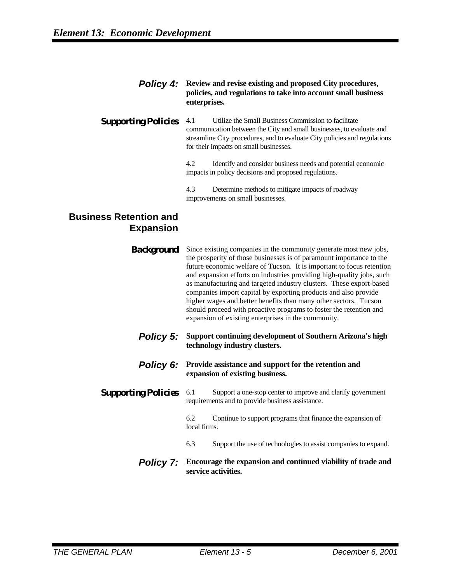#### *Policy 4:* **Review and revise existing and proposed City procedures, policies, and regulations to take into account small business enterprises.**

#### **Supporting Policies** 4.1 Utilize the Small Business Commission to facilitate communication between the City and small businesses, to evaluate and streamline City procedures, and to evaluate City policies and regulations for their impacts on small businesses.

4.2 Identify and consider business needs and potential economic impacts in policy decisions and proposed regulations.

4.3 Determine methods to mitigate impacts of roadway improvements on small businesses.

# **Business Retention and Expansion**

| Background | Since existing companies in the community generate most new jobs,<br>the prosperity of those businesses is of paramount importance to the<br>future economic welfare of Tucson. It is important to focus retention<br>and expansion efforts on industries providing high-quality jobs, such<br>as manufacturing and targeted industry clusters. These export-based<br>companies import capital by exporting products and also provide<br>higher wages and better benefits than many other sectors. Tucson<br>should proceed with proactive programs to foster the retention and<br>expansion of existing enterprises in the community. |
|------------|----------------------------------------------------------------------------------------------------------------------------------------------------------------------------------------------------------------------------------------------------------------------------------------------------------------------------------------------------------------------------------------------------------------------------------------------------------------------------------------------------------------------------------------------------------------------------------------------------------------------------------------|
|            |                                                                                                                                                                                                                                                                                                                                                                                                                                                                                                                                                                                                                                        |

- *Policy 5:* **Support continuing development of Southern Arizona's high technology industry clusters.**
- *Policy 6:* Provide assistance and support for the retention and **expansion of existing business.**

## **Supporting Policies** 6.1 Support a one-stop center to improve and clarify government requirements and to provide business assistance.

6.2 Continue to support programs that finance the expansion of local firms.

- 6.3 Support the use of technologies to assist companies to expand.
- *Policy 7:* **Encourage the expansion and continued viability of trade and service activities.**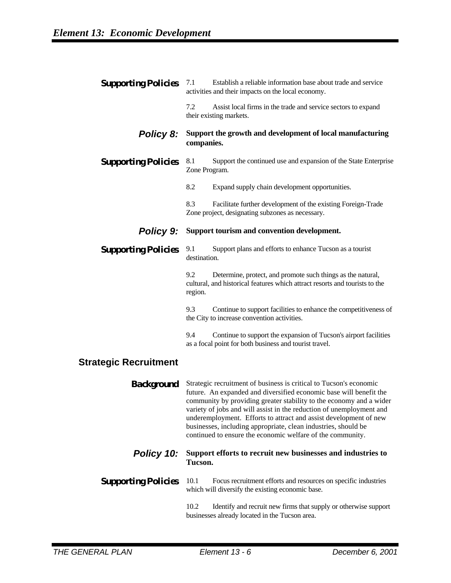| <b>Supporting Policies</b>   | Establish a reliable information base about trade and service<br>7.1<br>activities and their impacts on the local economy.                                                                                                                                                                                                                                                                                                                                                                   |
|------------------------------|----------------------------------------------------------------------------------------------------------------------------------------------------------------------------------------------------------------------------------------------------------------------------------------------------------------------------------------------------------------------------------------------------------------------------------------------------------------------------------------------|
|                              | 7.2<br>Assist local firms in the trade and service sectors to expand<br>their existing markets.                                                                                                                                                                                                                                                                                                                                                                                              |
| <b>Policy 8:</b>             | Support the growth and development of local manufacturing<br>companies.                                                                                                                                                                                                                                                                                                                                                                                                                      |
| <b>Supporting Policies</b>   | 8.1<br>Support the continued use and expansion of the State Enterprise<br>Zone Program.                                                                                                                                                                                                                                                                                                                                                                                                      |
|                              | 8.2<br>Expand supply chain development opportunities.                                                                                                                                                                                                                                                                                                                                                                                                                                        |
|                              | 8.3<br>Facilitate further development of the existing Foreign-Trade<br>Zone project, designating subzones as necessary.                                                                                                                                                                                                                                                                                                                                                                      |
| <b>Policy 9:</b>             | Support tourism and convention development.                                                                                                                                                                                                                                                                                                                                                                                                                                                  |
| <b>Supporting Policies</b>   | 9.1<br>Support plans and efforts to enhance Tucson as a tourist<br>destination.                                                                                                                                                                                                                                                                                                                                                                                                              |
|                              | 9.2<br>Determine, protect, and promote such things as the natural,<br>cultural, and historical features which attract resorts and tourists to the<br>region.                                                                                                                                                                                                                                                                                                                                 |
|                              | 9.3<br>Continue to support facilities to enhance the competitiveness of<br>the City to increase convention activities.                                                                                                                                                                                                                                                                                                                                                                       |
|                              | 9.4<br>Continue to support the expansion of Tucson's airport facilities<br>as a focal point for both business and tourist travel.                                                                                                                                                                                                                                                                                                                                                            |
| <b>Strategic Recruitment</b> |                                                                                                                                                                                                                                                                                                                                                                                                                                                                                              |
| Background                   | Strategic recruitment of business is critical to Tucson's economic<br>future. An expanded and diversified economic base will benefit the<br>community by providing greater stability to the economy and a wider<br>variety of jobs and will assist in the reduction of unemployment and<br>underemployment. Efforts to attract and assist development of new<br>businesses, including appropriate, clean industries, should be<br>continued to ensure the economic welfare of the community. |
| Policy 10:                   | Support efforts to recruit new businesses and industries to<br>Tucson.                                                                                                                                                                                                                                                                                                                                                                                                                       |
| <b>Supporting Policies</b>   | 10.1<br>Focus recruitment efforts and resources on specific industries<br>which will diversify the existing economic base.                                                                                                                                                                                                                                                                                                                                                                   |
|                              |                                                                                                                                                                                                                                                                                                                                                                                                                                                                                              |

10.2 Identify and recruit new firms that supply or otherwise support businesses already located in the Tucson area.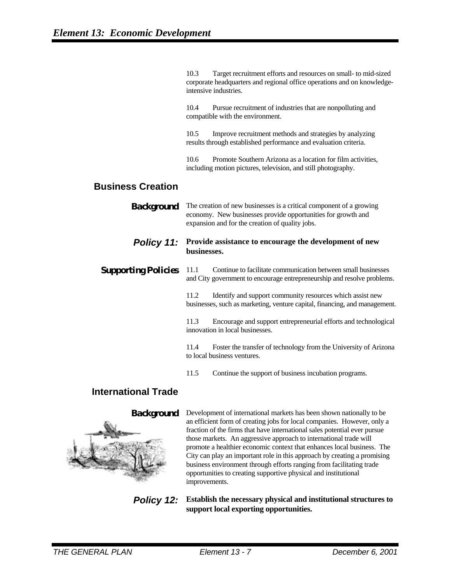10.3 Target recruitment efforts and resources on small- to mid-sized corporate headquarters and regional office operations and on knowledgeintensive industries.

10.4 Pursue recruitment of industries that are nonpolluting and compatible with the environment.

10.5 Improve recruitment methods and strategies by analyzing results through established performance and evaluation criteria.

10.6 Promote Southern Arizona as a location for film activities, including motion pictures, television, and still photography.

# **Business Creation**

**Background** The creation of new businesses is a critical component of a growing economy. New businesses provide opportunities for growth and expansion and for the creation of quality jobs.

#### *Policy 11:* **Provide assistance to encourage the development of new businesses.**

**Supporting Policies** 11.1 Continue to facilitate communication between small businesses and City government to encourage entrepreneurship and resolve problems.

> 11.2 Identify and support community resources which assist new businesses, such as marketing, venture capital, financing, and management.

> 11.3 Encourage and support entrepreneurial efforts and technological innovation in local businesses.

> 11.4 Foster the transfer of technology from the University of Arizona to local business ventures.

11.5 Continue the support of business incubation programs.

# **International Trade**



**Background** Development of international markets has been shown nationally to be an efficient form of creating jobs for local companies. However, only a fraction of the firms that have international sales potential ever pursue those markets. An aggressive approach to international trade will promote a healthier economic context that enhances local business. The City can play an important role in this approach by creating a promising business environment through efforts ranging from facilitating trade opportunities to creating supportive physical and institutional improvements.

*Policy 12:* **Establish the necessary physical and institutional structures to support local exporting opportunities.**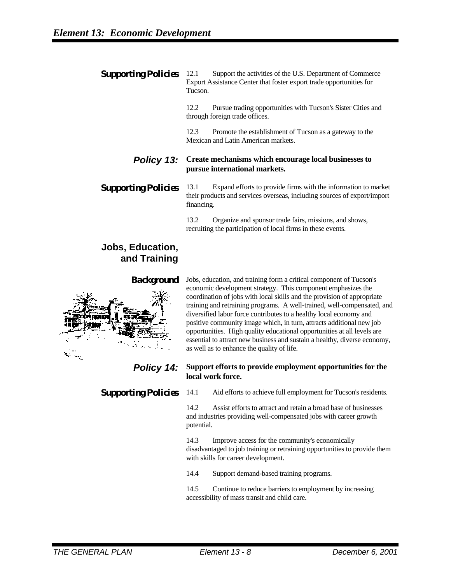#### **Supporting Policies** 12.1 Support the activities of the U.S. Department of Commerce Export Assistance Center that foster export trade opportunities for Tucson.

12.2 Pursue trading opportunities with Tucson's Sister Cities and through foreign trade offices.

12.3 Promote the establishment of Tucson as a gateway to the Mexican and Latin American markets.

#### *Policy 13:* **Create mechanisms which encourage local businesses to pursue international markets.**

**Supporting Policies** 13.1 Expand efforts to provide firms with the information to market their products and services overseas, including sources of export/import financing.

> 13.2 Organize and sponsor trade fairs, missions, and shows, recruiting the participation of local firms in these events.

# **Jobs, Education, and Training**



**Background** Jobs, education, and training form a critical component of Tucson's economic development strategy. This component emphasizes the coordination of jobs with local skills and the provision of appropriate training and retraining programs. A well-trained, well-compensated, and diversified labor force contributes to a healthy local economy and positive community image which, in turn, attracts additional new job opportunities. High quality educational opportunities at all levels are essential to attract new business and sustain a healthy, diverse economy, as well as to enhance the quality of life.

### *Policy 14:* **Support efforts to provide employment opportunities for the local work force.**

**Supporting Policies** 14.1 Aid efforts to achieve full employment for Tucson's residents.

14.2 Assist efforts to attract and retain a broad base of businesses and industries providing well-compensated jobs with career growth potential.

14.3 Improve access for the community's economically disadvantaged to job training or retraining opportunities to provide them with skills for career development.

14.4 Support demand-based training programs.

14.5 Continue to reduce barriers to employment by increasing accessibility of mass transit and child care.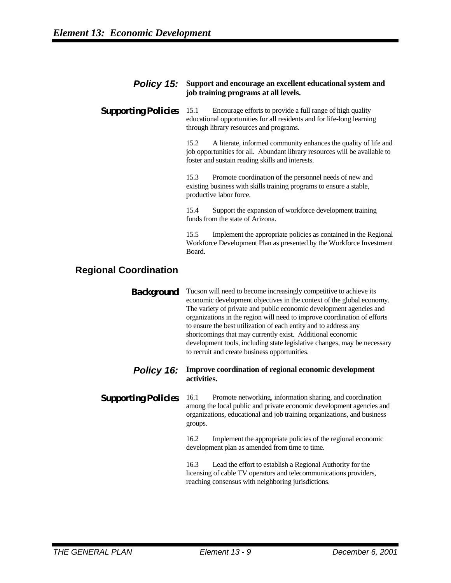#### *Policy 15:* **Support and encourage an excellent educational system and job training programs at all levels.**

**Supporting Policies** 15.1 Encourage efforts to provide a full range of high quality educational opportunities for all residents and for life-long learning through library resources and programs.

> 15.2 A literate, informed community enhances the quality of life and job opportunities for all. Abundant library resources will be available to foster and sustain reading skills and interests.

15.3 Promote coordination of the personnel needs of new and existing business with skills training programs to ensure a stable, productive labor force.

15.4 Support the expansion of workforce development training funds from the state of Arizona.

15.5 Implement the appropriate policies as contained in the Regional Workforce Development Plan as presented by the Workforce Investment Board.

# **Regional Coordination**

**Background** Tucson will need to become increasingly competitive to achieve its economic development objectives in the context of the global economy. The variety of private and public economic development agencies and organizations in the region will need to improve coordination of efforts to ensure the best utilization of each entity and to address any shortcomings that may currently exist. Additional economic development tools, including state legislative changes, may be necessary to recruit and create business opportunities.

#### *Policy 16:* **Improve coordination of regional economic development activities.**

#### **Supporting Policies** 16.1 Promote networking, information sharing, and coordination among the local public and private economic development agencies and organizations, educational and job training organizations, and business groups.

16.2 Implement the appropriate policies of the regional economic development plan as amended from time to time.

16.3 Lead the effort to establish a Regional Authority for the licensing of cable TV operators and telecommunications providers, reaching consensus with neighboring jurisdictions.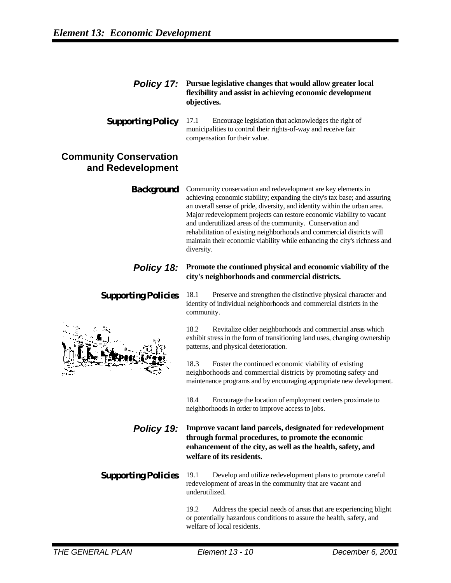#### *Policy 17:* **Pursue legislative changes that would allow greater local flexibility and assist in achieving economic development objectives.**

**Supporting Policy** 17.1 Encourage legislation that acknowledges the right of municipalities to control their rights-of-way and receive fair compensation for their value.

# **Community Conservation and Redevelopment**

**Background** Community conservation and redevelopment are key elements in achieving economic stability; expanding the city's tax base; and assuring an overall sense of pride, diversity, and identity within the urban area. Major redevelopment projects can restore economic viability to vacant and underutilized areas of the community. Conservation and rehabilitation of existing neighborhoods and commercial districts will maintain their economic viability while enhancing the city's richness and diversity.

### *Policy 18:* Promote the continued physical and economic viability of the **city's neighborhoods and commercial districts.**



**Supporting Policies** 18.1 Preserve and strengthen the distinctive physical character and identity of individual neighborhoods and commercial districts in the community.

> 18.2 Revitalize older neighborhoods and commercial areas which exhibit stress in the form of transitioning land uses, changing ownership patterns, and physical deterioration.

> 18.3 Foster the continued economic viability of existing neighborhoods and commercial districts by promoting safety and maintenance programs and by encouraging appropriate new development.

18.4 Encourage the location of employment centers proximate to neighborhoods in order to improve access to jobs.

*Policy 19:* **Improve vacant land parcels, designated for redevelopment through formal procedures, to promote the economic enhancement of the city, as well as the health, safety, and welfare of its residents.**

**Supporting Policies** 19.1 Develop and utilize redevelopment plans to promote careful redevelopment of areas in the community that are vacant and underutilized.

> 19.2 Address the special needs of areas that are experiencing blight or potentially hazardous conditions to assure the health, safety, and welfare of local residents.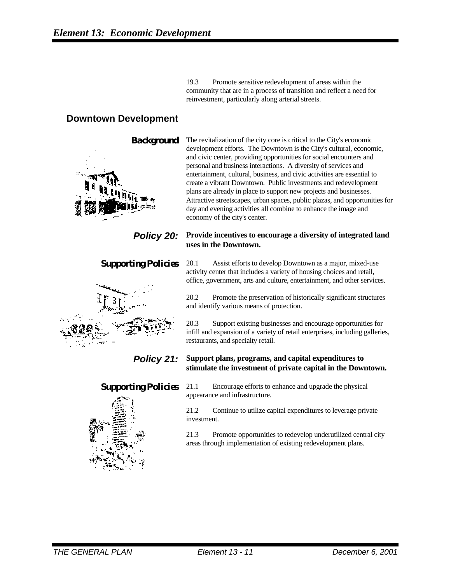19.3 Promote sensitive redevelopment of areas within the community that are in a process of transition and reflect a need for reinvestment, particularly along arterial streets.

# **Downtown Development**



**Background** The revitalization of the city core is critical to the City's economic development efforts. The Downtown is the City's cultural, economic, and civic center, providing opportunities for social encounters and personal and business interactions. A diversity of services and entertainment, cultural, business, and civic activities are essential to create a vibrant Downtown. Public investments and redevelopment plans are already in place to support new projects and businesses. Attractive streetscapes, urban spaces, public plazas, and opportunities for day and evening activities all combine to enhance the image and economy of the city's center.

#### *Policy 20:* Provide incentives to encourage a diversity of integrated land **uses in the Downtown.**

### **Supporting Policies** 20.1 Assist efforts to develop Downtown as a major, mixed-use

activity center that includes a variety of housing choices and retail, office, government, arts and culture, entertainment, and other services. 20.2 Promote the preservation of historically significant structures and identify various means of protection.

restaurants, and specialty retail.

20.3 Support existing businesses and encourage opportunities for infill and expansion of a variety of retail enterprises, including galleries,

### *Policy 21:* **Support plans, programs, and capital expenditures to stimulate the investment of private capital in the Downtown.**



**Supporting Policies** 21.1 Encourage efforts to enhance and upgrade the physical appearance and infrastructure.

> 21.2 Continue to utilize capital expenditures to leverage private investment.

21.3 Promote opportunities to redevelop underutilized central city areas through implementation of existing redevelopment plans.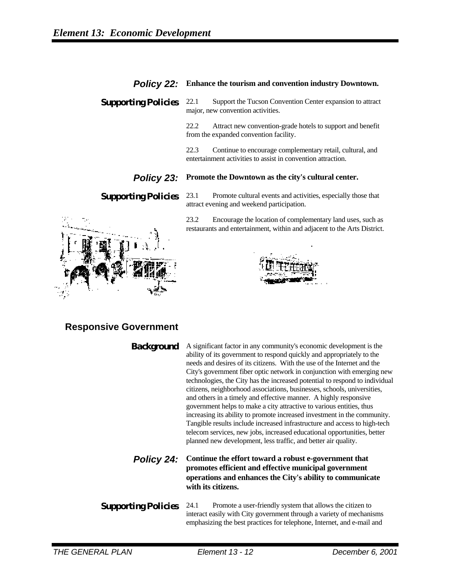#### *Policy 22:* **Enhance the tourism and convention industry Downtown.**

**Supporting Policies** 22.1 Support the Tucson Convention Center expansion to attract major, new convention activities.

> 22.2 Attract new convention-grade hotels to support and benefit from the expanded convention facility.

22.3 Continue to encourage complementary retail, cultural, and entertainment activities to assist in convention attraction.

#### *Policy 23:* **Promote the Downtown as the city's cultural center.**

**Supporting Policies** 23.1 Promote cultural events and activities, especially those that attract evening and weekend participation.

> 23.2 Encourage the location of complementary land uses, such as restaurants and entertainment, within and adjacent to the Arts District.

# **Responsive Government**

**Background** A significant factor in any community's economic development is the ability of its government to respond quickly and appropriately to the needs and desires of its citizens. With the use of the Internet and the City's government fiber optic network in conjunction with emerging new technologies, the City has the increased potential to respond to individual citizens, neighborhood associations, businesses, schools, universities, and others in a timely and effective manner. A highly responsive government helps to make a city attractive to various entities, thus increasing its ability to promote increased investment in the community. Tangible results include increased infrastructure and access to high-tech telecom services, new jobs, increased educational opportunities, better planned new development, less traffic, and better air quality.

*Policy 24:* **Continue the effort toward a robust e-government that promotes efficient and effective municipal government operations and enhances the City's ability to communicate with its citizens.**

**Supporting Policies** 24.1 Promote a user-friendly system that allows the citizen to interact easily with City government through a variety of mechanisms emphasizing the best practices for telephone, Internet, and e-mail and